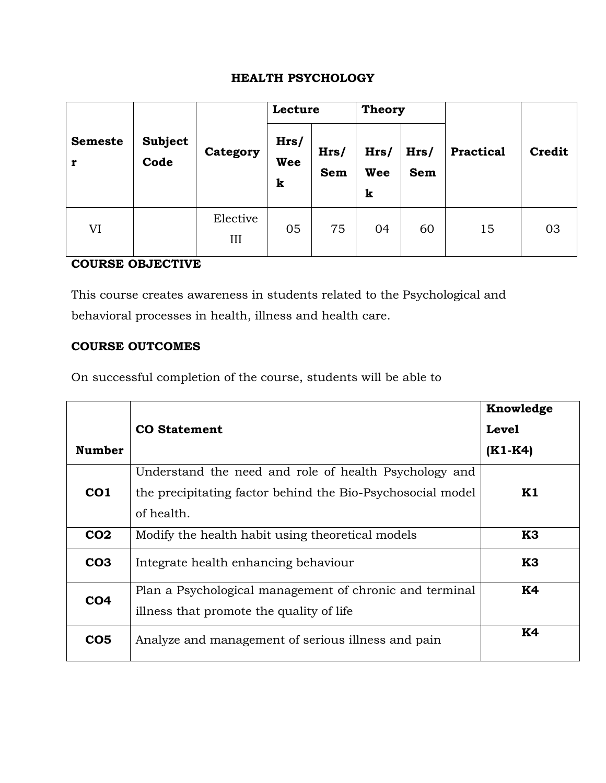#### **HEALTH PSYCHOLOGY**

|                | <b>Subject</b><br>Code | Category        | Lecture          |             | <b>Theory</b>    |                    |                  |               |
|----------------|------------------------|-----------------|------------------|-------------|------------------|--------------------|------------------|---------------|
| <b>Semeste</b> |                        |                 | Hrs/<br>Wee<br>k | Hrs/<br>Sem | Hrs/<br>Wee<br>k | Hrs/<br><b>Sem</b> | <b>Practical</b> | <b>Credit</b> |
| VI             |                        | Elective<br>III | 05               | 75          | 04               | 60                 | 15               | 03            |

## **COURSE OBJECTIVE**

This course creates awareness in students related to the Psychological and behavioral processes in health, illness and health care.

### **COURSE OUTCOMES**

On successful completion of the course, students will be able to

|                 |                                                            | Knowledge     |
|-----------------|------------------------------------------------------------|---------------|
|                 | <b>CO</b> Statement                                        | <b>Level</b>  |
| <b>Number</b>   |                                                            | $(K1-K4)$     |
|                 | Understand the need and role of health Psychology and      |               |
| CO <sub>1</sub> | the precipitating factor behind the Bio-Psychosocial model | $\mathbf{K}1$ |
|                 | of health.                                                 |               |
| CO <sub>2</sub> | Modify the health habit using theoretical models           | K3            |
| CO <sub>3</sub> | Integrate health enhancing behaviour                       | K3            |
| CO <sub>4</sub> | Plan a Psychological management of chronic and terminal    | <b>K4</b>     |
|                 | illness that promote the quality of life                   |               |
| CO <sub>5</sub> | Analyze and management of serious illness and pain         | <b>K4</b>     |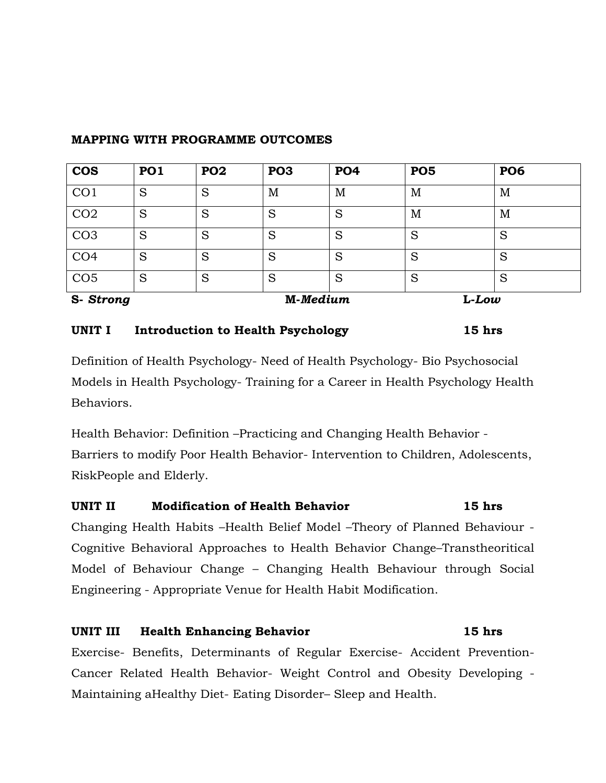| <b>COS</b>      | <b>PO1</b> | <b>PO2</b> | PO <sub>3</sub> | <b>PO4</b> | <b>PO5</b> | <b>PO6</b> |  |
|-----------------|------------|------------|-----------------|------------|------------|------------|--|
| CO <sub>1</sub> | S          | S          | M               | M          | M          | M          |  |
| CO <sub>2</sub> | S          | S          | S               | S          | M          | M          |  |
| CO <sub>3</sub> | S          | S          | S               | S          | S          | S          |  |
| CO <sub>4</sub> | S          | S          | S               | S          | S          | S          |  |
| CO <sub>5</sub> | S          | S          | S               | S          | S          | S          |  |
| S-Strong        |            |            | M-Medium        |            | $L-Low$    |            |  |

#### **MAPPING WITH PROGRAMME OUTCOMES**

#### UNIT I Introduction to Health Psychology 15 hrs

Definition of Health Psychology- Need of Health Psychology- Bio Psychosocial Models in Health Psychology- Training for a Career in Health Psychology Health Behaviors.

Health Behavior: Definition –Practicing and Changing Health Behavior - Barriers to modify Poor Health Behavior- Intervention to Children, Adolescents, RiskPeople and Elderly.

# **UNIT II Modification of Health Behavior 15 hrs**

Changing Health Habits –Health Belief Model –Theory of Planned Behaviour - Cognitive Behavioral Approaches to Health Behavior Change–Transtheoritical Model of Behaviour Change – Changing Health Behaviour through Social Engineering - Appropriate Venue for Health Habit Modification.

## **UNIT III Health Enhancing Behavior 15 hrs**

Exercise- Benefits, Determinants of Regular Exercise- Accident Prevention-Cancer Related Health Behavior- Weight Control and Obesity Developing - Maintaining aHealthy Diet- Eating Disorder– Sleep and Health.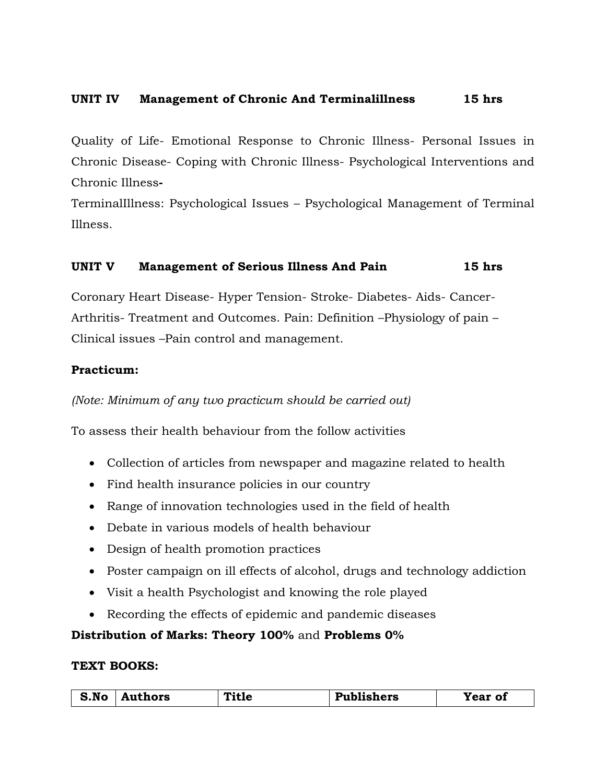#### **UNIT IV Management of Chronic And Terminalillness 15 hrs**

Quality of Life- Emotional Response to Chronic Illness- Personal Issues in Chronic Disease- Coping with Chronic Illness- Psychological Interventions and Chronic Illness**-**

TerminalIllness: Psychological Issues – Psychological Management of Terminal Illness.

#### **UNIT V Management of Serious Illness And Pain 15 hrs**

Coronary Heart Disease- Hyper Tension- Stroke- Diabetes- Aids- Cancer-Arthritis- Treatment and Outcomes. Pain: Definition –Physiology of pain – Clinical issues –Pain control and management.

#### **Practicum:**

*(Note: Minimum of any two practicum should be carried out)*

To assess their health behaviour from the follow activities

- Collection of articles from newspaper and magazine related to health
- Find health insurance policies in our country
- Range of innovation technologies used in the field of health
- Debate in various models of health behaviour
- Design of health promotion practices
- Poster campaign on ill effects of alcohol, drugs and technology addiction
- Visit a health Psychologist and knowing the role played
- Recording the effects of epidemic and pandemic diseases

#### **Distribution of Marks: Theory 100%** and **Problems 0%**

#### **TEXT BOOKS:**

| S.No | Authors | Title | <b>Publishers</b> | -7<br>'ear of |
|------|---------|-------|-------------------|---------------|
|------|---------|-------|-------------------|---------------|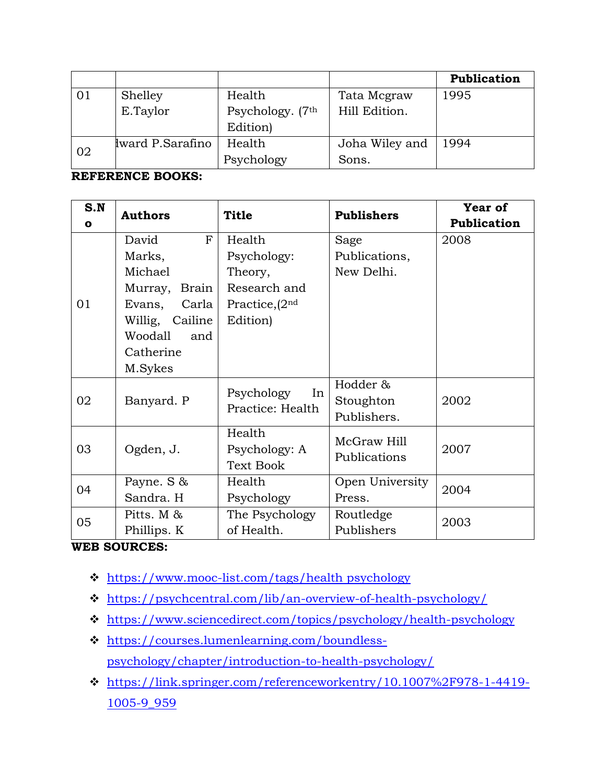|    |                 |                  |                | Publication |
|----|-----------------|------------------|----------------|-------------|
| 01 | Shelley         | Health           | Tata Mcgraw    | 1995        |
|    | E.Taylor        | Psychology. (7th | Hill Edition.  |             |
|    |                 | Edition)         |                |             |
| 02 | ward P.Sarafino | Health           | Joha Wiley and | 1994        |
|    |                 | Psychology       | Sons.          |             |

## **REFERENCE BOOKS:**

| S.N          | <b>Authors</b>                                                                                                                      | <b>Title</b>                                                                      | <b>Publishers</b>                    | Year of     |
|--------------|-------------------------------------------------------------------------------------------------------------------------------------|-----------------------------------------------------------------------------------|--------------------------------------|-------------|
| $\mathbf{o}$ |                                                                                                                                     |                                                                                   |                                      | Publication |
| 01           | David<br>F<br>Marks,<br>Michael<br>Brain<br>Murray,<br>Carla<br>Evans,<br>Willig, Cailine<br>Woodall<br>and<br>Catherine<br>M.Sykes | Health<br>Psychology:<br>Theory,<br>Research and<br>Practice, $(2nd)$<br>Edition) | Sage<br>Publications,<br>New Delhi.  | 2008        |
| 02           | Banyard. P                                                                                                                          | Psychology<br>In<br>Practice: Health                                              | Hodder &<br>Stoughton<br>Publishers. | 2002        |
| 03           | Ogden, J.                                                                                                                           | Health<br>Psychology: A<br><b>Text Book</b>                                       | McGraw Hill<br>Publications          | 2007        |
| 04           | Payne. S &<br>Sandra. H                                                                                                             | Health<br>Psychology                                                              | Open University<br>Press.            | 2004        |
| 05           | Pitts. M &<br>Phillips. K                                                                                                           | The Psychology<br>of Health.                                                      | Routledge<br>Publishers              | 2003        |

#### **WEB SOURCES:**

- [https://www.mooc-list.com/tags/health psychology](https://www.mooc-list.com/tags/health%20psychology)
- <https://psychcentral.com/lib/an-overview-of-health-psychology/>
- <https://www.sciencedirect.com/topics/psychology/health-psychology>
- [https://courses.lumenlearning.com/boundless](https://courses.lumenlearning.com/boundless-psychology/chapter/introduction-to-health-psychology/)[psychology/chapter/introduction-to-health-psychology/](https://courses.lumenlearning.com/boundless-psychology/chapter/introduction-to-health-psychology/)
- [https://link.springer.com/referenceworkentry/10.1007%2F978-1-4419-](https://link.springer.com/referenceworkentry/10.1007%2F978-1-4419-1005-9_959) [1005-9\\_959](https://link.springer.com/referenceworkentry/10.1007%2F978-1-4419-1005-9_959)